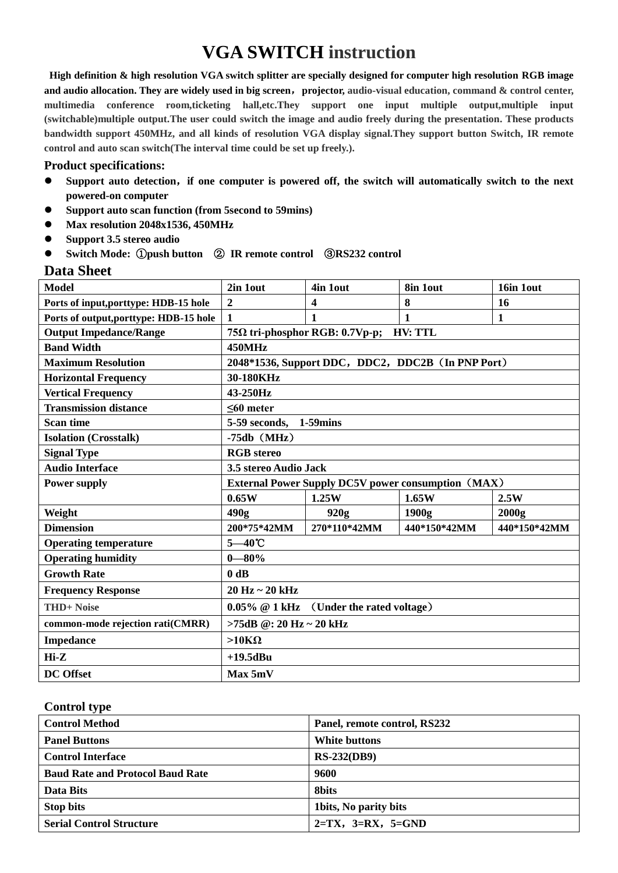# **VGA SWITCH instruction**

**High definition & high resolution VGA switch splitter are specially designed for computer high resolution RGB image and audio allocation. They are widely used in big screen**,**projector, audio-visual education, command & control center, multimedia conference room,ticketing hall,etc.They support one input multiple output,multiple input (switchable)multiple output.The user could switch the image and audio freely during the presentation. These products bandwidth support 450MHz, and all kinds of resolution VGA display signal.They support button Switch, IR remote control and auto scan switch(The interval time could be set up freely.).**

#### **Product specifications:**

- **Support auto detection**,**if one computer is powered off, the switch will automatically switch to the next powered-on computer**
- **Support auto scan function (from 5second to 59mins)**
- **Max resolution 2048x1536, 450MHz**
- **Support 3.5 stereo audio**
- **Switch Mode:** ①**push button** ② **IR remote control** ③**RS232 control**

#### **Data Sheet**

| <b>Model</b>                           | 2in 1out                                                  | 4in 1out     | 8in 1out     | 16in 10ut    |
|----------------------------------------|-----------------------------------------------------------|--------------|--------------|--------------|
| Ports of input, porttype: HDB-15 hole  | 2                                                         | 4            | 8            | 16           |
| Ports of output, porttype: HDB-15 hole | $\mathbf{1}$                                              | $\mathbf{1}$ | 1            | 1            |
| <b>Output Impedance/Range</b>          | <b>HV: TTL</b><br>75Ω tri-phosphor RGB: 0.7Vp-p;          |              |              |              |
| <b>Band Width</b>                      | 450MHz                                                    |              |              |              |
| <b>Maximum Resolution</b>              | 2048*1536, Support DDC, DDC2, DDC2B (In PNP Port)         |              |              |              |
| <b>Horizontal Frequency</b>            | 30-180KHz                                                 |              |              |              |
| <b>Vertical Frequency</b>              | 43-250Hz                                                  |              |              |              |
| <b>Transmission distance</b>           | $60$ meter                                                |              |              |              |
| <b>Scan time</b>                       | 5-59 seconds,<br>$1-59$ mins                              |              |              |              |
| <b>Isolation (Crosstalk)</b>           | $-75db$ (MHz)                                             |              |              |              |
| <b>Signal Type</b>                     | <b>RGB</b> stereo                                         |              |              |              |
| <b>Audio Interface</b>                 | 3.5 stereo Audio Jack                                     |              |              |              |
| <b>Power supply</b>                    | <b>External Power Supply DC5V power consumption (MAX)</b> |              |              |              |
|                                        | 0.65W                                                     | 1.25W        | 1.65W        | 2.5W         |
| Weight                                 | 490g                                                      | 920g         | 1900g        | 2000g        |
| <b>Dimension</b>                       | 200*75*42MM                                               | 270*110*42MM | 440*150*42MM | 440*150*42MM |
| <b>Operating temperature</b>           | $5 - 40$ °C                                               |              |              |              |
| <b>Operating humidity</b>              | $0 - 80\%$                                                |              |              |              |
| <b>Growth Rate</b>                     | $0$ dB                                                    |              |              |              |
| <b>Frequency Response</b>              | $20$ Hz $\sim$ 20 kHz                                     |              |              |              |
| <b>THD+Noise</b>                       | $0.05\%$ @ 1 kHz (Under the rated voltage)                |              |              |              |
| common-mode rejection rati(CMRR)       | >75dB $@:20$ Hz ~ 20 kHz                                  |              |              |              |
| Impedance                              | $>10K\Omega$                                              |              |              |              |
| $Hi-Z$                                 | $+19.5$ dBu                                               |              |              |              |
| <b>DC</b> Offset                       | Max 5mV                                                   |              |              |              |

#### **Control type**

| <b>Control Method</b>                   | Panel, remote control, RS232 |  |
|-----------------------------------------|------------------------------|--|
| <b>Panel Buttons</b>                    | White buttons                |  |
| <b>Control Interface</b>                | <b>RS-232(DB9)</b>           |  |
| <b>Baud Rate and Protocol Baud Rate</b> | 9600                         |  |
| Data Bits                               | <b>8bits</b>                 |  |
| <b>Stop bits</b>                        | 1 bits, No parity bits       |  |
| <b>Serial Control Structure</b>         | $2=TX$ , $3=RX$ , $5=GND$    |  |